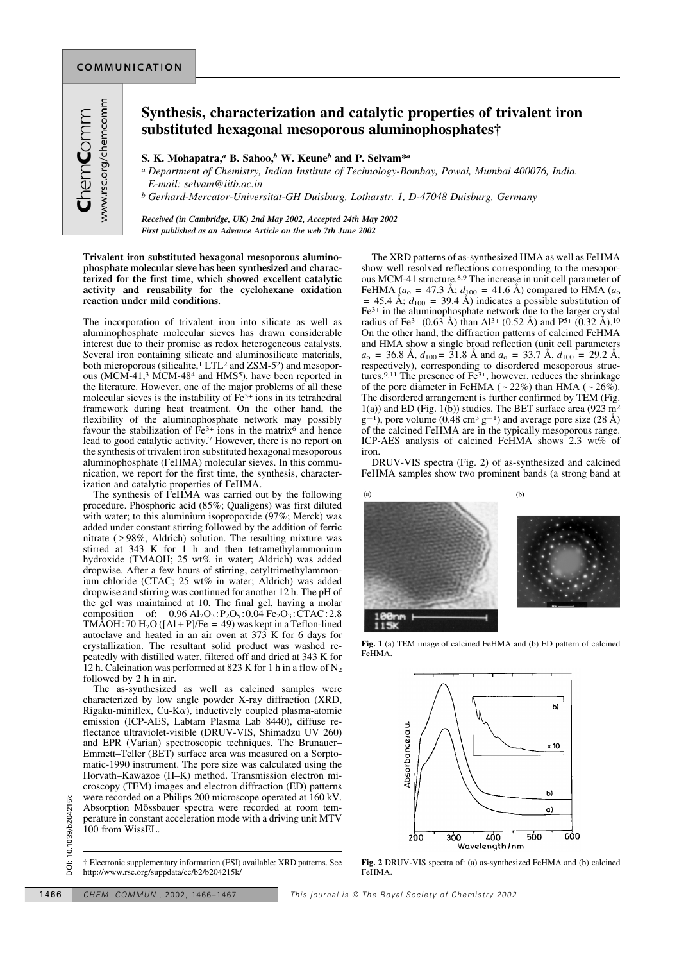## **Synthesis, characterization and catalytic properties of trivalent iron substituted hexagonal mesoporous aluminophosphates†**

**S. K. Mohapatra,***<sup>a</sup>* **B. Sahoo,***<sup>b</sup>* **W. Keune***<sup>b</sup>* **and P. Selvam\****<sup>a</sup>*

*a Department of Chemistry, Indian Institute of Technology-Bombay, Powai, Mumbai 400076, India. E-mail: selvam@iitb.ac.in*

*b Gerhard-Mercator-Universität-GH Duisburg, Lotharstr. 1, D-47048 Duisburg, Germany*

*Received (in Cambridge, UK) 2nd May 2002, Accepted 24th May 2002 First published as an Advance Article on the web 7th June 2002*

**Trivalent iron substituted hexagonal mesoporous aluminophosphate molecular sieve has been synthesized and characterized for the first time, which showed excellent catalytic activity and reusability for the cyclohexane oxidation reaction under mild conditions.**

The incorporation of trivalent iron into silicate as well as aluminophosphate molecular sieves has drawn considerable interest due to their promise as redox heterogeneous catalysts. Several iron containing silicate and aluminosilicate materials, both microporous (silicalite,<sup>1</sup> LTL<sup>2</sup> and ZSM-5<sup>2</sup>) and mesoporous (MCM-41,3 MCM-484 and HMS5 ), have been reported in the literature. However, one of the major problems of all these molecular sieves is the instability of Fe<sup>3+</sup> ions in its tetrahedral framework during heat treatment. On the other hand, the flexibility of the aluminophosphate network may possibly favour the stabilization of  $\hat{F}e^{3+}$  ions in the matrix<sup>6</sup> and hence lead to good catalytic activity.7 However, there is no report on the synthesis of trivalent iron substituted hexagonal mesoporous aluminophosphate (FeHMA) molecular sieves. In this communication, we report for the first time, the synthesis, characterization and catalytic properties of FeHMA.

The synthesis of FeHMA was carried out by the following procedure. Phosphoric acid (85%; Qualigens) was first diluted with water; to this aluminium isopropoxide (97%; Merck) was added under constant stirring followed by the addition of ferric nitrate ( > 98%, Aldrich) solution. The resulting mixture was stirred at 343 K for 1 h and then tetramethylammonium hydroxide (TMAOH; 25 wt% in water; Aldrich) was added dropwise. After a few hours of stirring, cetyltrimethylammonium chloride (CTAC; 25 wt% in water; Aldrich) was added dropwise and stirring was continued for another 12 h. The pH of the gel was maintained at 10. The final gel, having a molar composition of:  $0.96 \text{ Al}_2\text{O}_3$ :  $P_2\text{O}_5$ : 0.04 Fe<sub>2</sub>O<sub>3</sub>: CTAC: 2.8 TMAOH: 70 H<sub>2</sub>O ( $[A1 + P]/Fe = 49$ ) was kept in a Teflon-lined autoclave and heated in an air oven at 373 K for 6 days for crystallization. The resultant solid product was washed repeatedly with distilled water, filtered off and dried at 343 K for 12 h. Calcination was performed at 823 K for 1 h in a flow of  $N_2$ followed by 2 h in air.

The as-synthesized as well as calcined samples were characterized by low angle powder X-ray diffraction (XRD, Rigaku-miniflex,  $Cu-K\alpha$ ), inductively coupled plasma-atomic emission (ICP-AES, Labtam Plasma Lab 8440), diffuse reflectance ultraviolet-visible (DRUV-VIS, Shimadzu UV 260) and EPR (Varian) spectroscopic techniques. The Brunauer– Emmett–Teller (BET) surface area was measured on a Sorptomatic-1990 instrument. The pore size was calculated using the Horvath–Kawazoe (H–K) method. Transmission electron microscopy (TEM) images and electron diffraction (ED) patterns were recorded on a Philips 200 microscope operated at 160 kV. Absorption Mössbauer spectra were recorded at room temperature in constant acceleration mode with a driving unit MTV 100 from WissEL. EXERCISE CHEM. COMMUN., 2002, 1466–1467<br>
This journal is © The Royal Society of Chemistry 2002<br>
This journal is © The Royal Society of Chemistry 2002<br>
This journal is © The Royal Society of Chemistry 2002<br>
This journal is

† Electronic supplementary information (ESI) available: XRD patterns. See http://www.rsc.org/suppdata/cc/b2/b204215k/

The XRD patterns of as-synthesized HMA as well as FeHMA show well resolved reflections corresponding to the mesoporous MCM-41 structure.8,9 The increase in unit cell parameter of FeHMA  $(a_0 = 47.3 \text{ Å}; d_{100} = 41.6 \text{ Å})$  compared to HMA  $(a_0$  $=$  45.4 Å;  $d_{100}$  = 39.4 Å) indicates a possible substitution of Fe3+ in the aluminophosphate network due to the larger crystal radius of Fe<sup>3+</sup> (0.63 Å) than Al<sup>3+</sup> (0.52 Å) and P<sup>5+</sup> (0.32 Å).<sup>10</sup> On the other hand, the diffraction patterns of calcined FeHMA and HMA show a single broad reflection (unit cell parameters  $a_0 = 36.8$  Å,  $d_{100} = 31.8$  Å and  $a_0 = 33.7$  Å,  $d_{100} = 29.2$  Å, respectively), corresponding to disordered mesoporous structures.9,11 The presence of Fe3+, however, reduces the shrinkage of the pore diameter in FeHMA ( $\sim$  22%) than HMA ( $\sim$  26%). The disordered arrangement is further confirmed by TEM (Fig.  $1(a)$ ) and ED (Fig. 1(b)) studies. The BET surface area (923 m<sup>2</sup>)  $g^{-1}$ , pore volume (0.48 cm<sup>3</sup> g<sup>-1</sup>) and average pore size (28 Å) of the calcined FeHMA are in the typically mesoporous range. ICP-AES analysis of calcined FeHMA shows 2.3 wt% of iron.

DRUV-VIS spectra (Fig. 2) of as-synthesized and calcined FeHMA samples show two prominent bands (a strong band at



**Fig. 1** (a) TEM image of calcined FeHMA and (b) ED pattern of calcined FeHMA.



**Fig. 2** DRUV-VIS spectra of: (a) as-synthesized FeHMA and (b) calcined FeHMA.